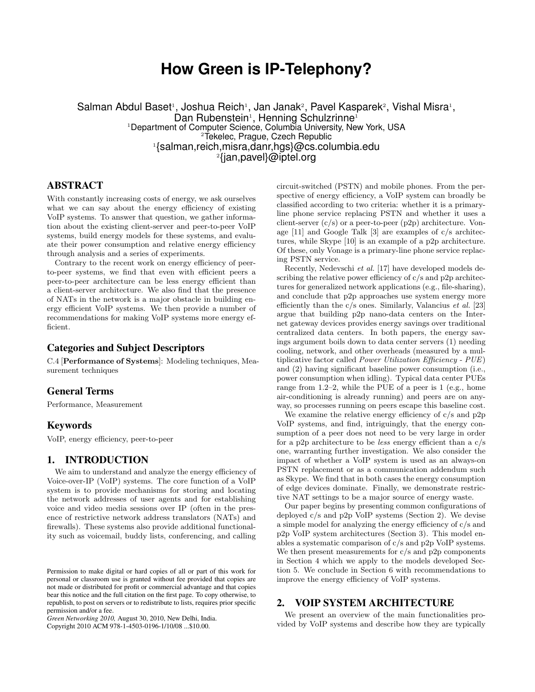# **How Green is IP-Telephony?**

Salman Abdul Baset<sup>1</sup>, Joshua Reich<sup>1</sup>, Jan Janak<sup>2</sup>, Pavel Kasparek<sup>2</sup>, Vishal Misra<sup>1</sup>, Dan Rubenstein<sup>1</sup>, Henning Schulzrinne<sup>1</sup> Department of Computer Science, Columbia University, New York, USA Tekelec, Prague, Czech Republic {salman,reich,misra,danr,hgs}@cs.columbia.edu {jan,pavel}@iptel.org

## ABSTRACT

With constantly increasing costs of energy, we ask ourselves what we can say about the energy efficiency of existing VoIP systems. To answer that question, we gather information about the existing client-server and peer-to-peer VoIP systems, build energy models for these systems, and evaluate their power consumption and relative energy efficiency through analysis and a series of experiments.

Contrary to the recent work on energy efficiency of peerto-peer systems, we find that even with efficient peers a peer-to-peer architecture can be less energy efficient than a client-server architecture. We also find that the presence of NATs in the network is a major obstacle in building energy efficient VoIP systems. We then provide a number of recommendations for making VoIP systems more energy efficient.

## Categories and Subject Descriptors

C.4 [**Performance of Systems**]: Modeling techniques, Measurement techniques

## General Terms

Performance, Measurement

#### Keywords

VoIP, energy efficiency, peer-to-peer

## 1. INTRODUCTION

We aim to understand and analyze the energy efficiency of Voice-over-IP (VoIP) systems. The core function of a VoIP system is to provide mechanisms for storing and locating the network addresses of user agents and for establishing voice and video media sessions over IP (often in the presence of restrictive network address translators (NATs) and firewalls). These systems also provide additional functionality such as voicemail, buddy lists, conferencing, and calling

Copyright 2010 ACM 978-1-4503-0196-1/10/08 ...\$10.00.

circuit-switched (PSTN) and mobile phones. From the perspective of energy efficiency, a VoIP system can broadly be classified according to two criteria: whether it is a primaryline phone service replacing PSTN and whether it uses a client-server  $(c/s)$  or a peer-to-peer  $(p2p)$  architecture. Vonage [11] and Google Talk [3] are examples of c/s architectures, while Skype [10] is an example of a p2p architecture. Of these, only Vonage is a primary-line phone service replacing PSTN service.

Recently, Nedevschi *et al.* [17] have developed models describing the relative power efficiency of  $c/s$  and  $p2p$  architectures for generalized network applications (e.g., file-sharing), and conclude that p2p approaches use system energy more efficiently than the c/s ones. Similarly, Valancius *et al.* [23] argue that building p2p nano-data centers on the Internet gateway devices provides energy savings over traditional centralized data centers. In both papers, the energy savings argument boils down to data center servers (1) needing cooling, network, and other overheads (measured by a multiplicative factor called *Power Utilization Efficiency - PUE*) and (2) having significant baseline power consumption (i.e., power consumption when idling). Typical data center PUEs range from 1.2–2, while the PUE of a peer is 1 (e.g., home air-conditioning is already running) and peers are on anyway, so processes running on peers escape this baseline cost.

We examine the relative energy efficiency of  $c/s$  and  $p2p$ VoIP systems, and find, intriguingly, that the energy consumption of a peer does not need to be very large in order for a p2p architecture to be *less* energy efficient than a c/s one, warranting further investigation. We also consider the impact of whether a VoIP system is used as an always-on PSTN replacement or as a communication addendum such as Skype. We find that in both cases the energy consumption of edge devices dominate. Finally, we demonstrate restrictive NAT settings to be a major source of energy waste.

Our paper begins by presenting common configurations of deployed c/s and p2p VoIP systems (Section 2). We devise a simple model for analyzing the energy efficiency of c/s and p2p VoIP system architectures (Section 3). This model enables a systematic comparison of c/s and p2p VoIP systems. We then present measurements for  $c/s$  and  $p2p$  components in Section 4 which we apply to the models developed Section 5. We conclude in Section 6 with recommendations to improve the energy efficiency of VoIP systems.

## 2. VOIP SYSTEM ARCHITECTURE

We present an overview of the main functionalities provided by VoIP systems and describe how they are typically

Permission to make digital or hard copies of all or part of this work for personal or classroom use is granted without fee provided that copies are not made or distributed for profit or commercial advantage and that copies bear this notice and the full citation on the first page. To copy otherwise, to republish, to post on servers or to redistribute to lists, requires prior specific permission and/or a fee.

*Green Networking 2010,* August 30, 2010, New Delhi, India.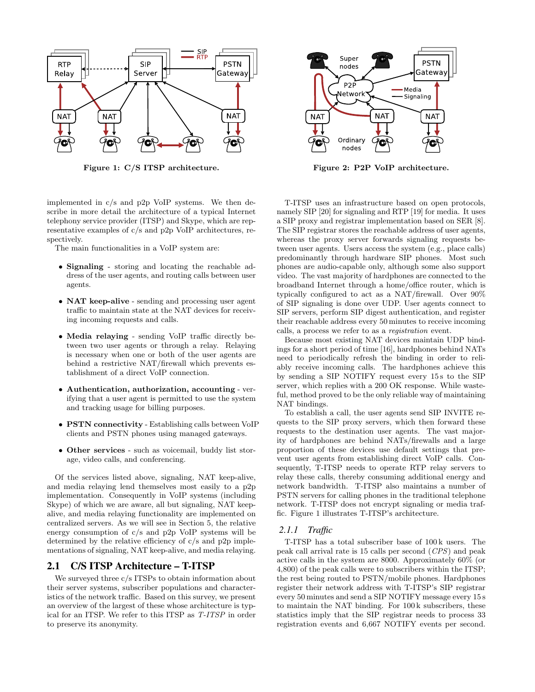

**Figure 1: C/S ITSP architecture.**

implemented in c/s and p2p VoIP systems. We then describe in more detail the architecture of a typical Internet telephony service provider (ITSP) and Skype, which are representative examples of c/s and p2p VoIP architectures, respectively.

The main functionalities in a VoIP system are:

- *•* **Signaling** storing and locating the reachable address of the user agents, and routing calls between user agents.
- *•* **NAT keep-alive** sending and processing user agent traffic to maintain state at the NAT devices for receiving incoming requests and calls.
- *•* **Media relaying** sending VoIP traffic directly between two user agents or through a relay. Relaying is necessary when one or both of the user agents are behind a restrictive NAT/firewall which prevents establishment of a direct VoIP connection.
- *•* **Authentication, authorization, accounting** verifying that a user agent is permitted to use the system and tracking usage for billing purposes.
- *•* **PSTN connectivity** Establishing calls between VoIP clients and PSTN phones using managed gateways.
- *•* **Other services** such as voicemail, buddy list storage, video calls, and conferencing.

Of the services listed above, signaling, NAT keep-alive, and media relaying lend themselves most easily to a p2p implementation. Consequently in VoIP systems (including Skype) of which we are aware, all but signaling, NAT keepalive, and media relaying functionality are implemented on centralized servers. As we will see in Section 5, the relative energy consumption of c/s and p2p VoIP systems will be determined by the relative efficiency of c/s and p2p implementations of signaling, NAT keep-alive, and media relaying.

## 2.1 C/S ITSP Architecture – T-ITSP

We surveyed three  $c/s$  ITSPs to obtain information about their server systems, subscriber populations and characteristics of the network traffic. Based on this survey, we present an overview of the largest of these whose architecture is typical for an ITSP. We refer to this ITSP as *T-ITSP* in order to preserve its anonymity.



**Figure 2: P2P VoIP architecture.**

T-ITSP uses an infrastructure based on open protocols, namely SIP [20] for signaling and RTP [19] for media. It uses a SIP proxy and registrar implementation based on SER [8]. The SIP registrar stores the reachable address of user agents, whereas the proxy server forwards signaling requests between user agents. Users access the system (e.g., place calls) predominantly through hardware SIP phones. Most such phones are audio-capable only, although some also support video. The vast majority of hardphones are connected to the broadband Internet through a home/office router, which is typically configured to act as a NAT/firewall. Over 90% of SIP signaling is done over UDP. User agents connect to SIP servers, perform SIP digest authentication, and register their reachable address every 50 minutes to receive incoming calls, a process we refer to as a *registration* event.

Because most existing NAT devices maintain UDP bindings for a short period of time [16], hardphones behind NATs need to periodically refresh the binding in order to reliably receive incoming calls. The hardphones achieve this by sending a SIP NOTIFY request every 15 s to the SIP server, which replies with a 200 OK response. While wasteful, method proved to be the only reliable way of maintaining NAT bindings.

To establish a call, the user agents send SIP INVITE requests to the SIP proxy servers, which then forward these requests to the destination user agents. The vast majority of hardphones are behind NATs/firewalls and a large proportion of these devices use default settings that prevent user agents from establishing direct VoIP calls. Consequently, T-ITSP needs to operate RTP relay servers to relay these calls, thereby consuming additional energy and network bandwidth. T-ITSP also maintains a number of PSTN servers for calling phones in the traditional telephone network. T-ITSP does not encrypt signaling or media traffic. Figure 1 illustrates T-ITSP's architecture.

#### *2.1.1 Traffic*

T-ITSP has a total subscriber base of 100 k users. The peak call arrival rate is 15 calls per second (*CPS*) and peak active calls in the system are 8000. Approximately 60% (or 4,800) of the peak calls were to subscribers within the ITSP; the rest being routed to PSTN/mobile phones. Hardphones register their network address with T-ITSP's SIP registrar every 50 minutes and send a SIP NOTIFY message every 15 s to maintain the NAT binding. For 100 k subscribers, these statistics imply that the SIP registrar needs to process 33 registration events and 6,667 NOTIFY events per second.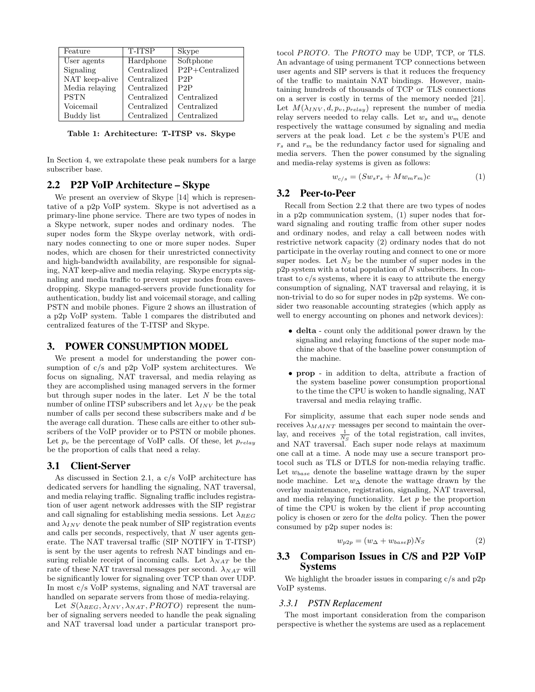| Feature        | T-ITSP      | Skype             |
|----------------|-------------|-------------------|
| User agents    | Hardphone   | Softphone         |
| Signaling      | Centralized | $P2P+Centralized$ |
| NAT keep-alive | Centralized | P2P               |
| Media relaying | Centralized | P2P               |
| <b>PSTN</b>    | Centralized | Centralized       |
| Voicemail      | Centralized | Centralized       |
| Buddy list     | Centralized | Centralized       |

**Table 1: Architecture: T-ITSP vs. Skype**

In Section 4, we extrapolate these peak numbers for a large subscriber base.

## 2.2 P2P VoIP Architecture – Skype

We present an overview of Skype [14] which is representative of a p2p VoIP system. Skype is not advertised as a primary-line phone service. There are two types of nodes in a Skype network, super nodes and ordinary nodes. The super nodes form the Skype overlay network, with ordinary nodes connecting to one or more super nodes. Super nodes, which are chosen for their unrestricted connectivity and high-bandwidth availability, are responsible for signaling, NAT keep-alive and media relaying. Skype encrypts signaling and media traffic to prevent super nodes from eavesdropping. Skype managed-servers provide functionality for authentication, buddy list and voicemail storage, and calling PSTN and mobile phones. Figure 2 shows an illustration of a p2p VoIP system. Table 1 compares the distributed and centralized features of the T-ITSP and Skype.

#### 3. POWER CONSUMPTION MODEL

We present a model for understanding the power consumption of c/s and p2p VoIP system architectures. We focus on signaling, NAT traversal, and media relaying as they are accomplished using managed servers in the former but through super nodes in the later. Let *N* be the total number of online ITSP subscribers and let  $\lambda_{INV}$  be the peak number of calls per second these subscribers make and *d* be the average call duration. These calls are either to other subscribers of the VoIP provider or to PSTN or mobile phones. Let  $p_v$  be the percentage of VoIP calls. Of these, let  $p_{relay}$ be the proportion of calls that need a relay.

## 3.1 Client-Server

As discussed in Section 2.1, a c/s VoIP architecture has dedicated servers for handling the signaling, NAT traversal, and media relaying traffic. Signaling traffic includes registration of user agent network addresses with the SIP registrar and call signaling for establishing media sessions. Let  $\lambda_{REG}$ and  $\lambda_{INV}$  denote the peak number of SIP registration events and calls per seconds, respectively, that *N* user agents generate. The NAT traversal traffic (SIP NOTIFY in T-ITSP) is sent by the user agents to refresh NAT bindings and ensuring reliable receipt of incoming calls. Let  $\lambda_{NAT}$  be the rate of these NAT traversal messages per second.  $\lambda_{NAT}$  will be significantly lower for signaling over TCP than over UDP. In most c/s VoIP systems, signaling and NAT traversal are handled on separate servers from those of media-relaying.

Let  $S(\lambda_{REG}, \lambda_{INV}, \lambda_{NAT}, PROTO)$  represent the number of signaling servers needed to handle the peak signaling and NAT traversal load under a particular transport protocol *PROTO*. The *PROTO* may be UDP, TCP, or TLS. An advantage of using permanent TCP connections between user agents and SIP servers is that it reduces the frequency of the traffic to maintain NAT bindings. However, maintaining hundreds of thousands of TCP or TLS connections on a server is costly in terms of the memory needed [21]. Let  $M(\lambda_{INV}, d, p_v, p_{relay})$  represent the number of media relay servers needed to relay calls. Let *w<sup>s</sup>* and *w<sup>m</sup>* denote respectively the wattage consumed by signaling and media servers at the peak load. Let *c* be the system's PUE and *r<sup>s</sup>* and *r<sup>m</sup>* be the redundancy factor used for signaling and media servers. Then the power consumed by the signaling and media-relay systems is given as follows:

$$
w_{c/s} = (Sw_s r_s + M w_m r_m)c \tag{1}
$$

#### 3.2 Peer-to-Peer

Recall from Section 2.2 that there are two types of nodes in a p2p communication system, (1) super nodes that forward signaling and routing traffic from other super nodes and ordinary nodes, and relay a call between nodes with restrictive network capacity (2) ordinary nodes that do not participate in the overlay routing and connect to one or more super nodes. Let  $N<sub>S</sub>$  be the number of super nodes in the p2p system with a total population of *N* subscribers. In contrast to c/s systems, where it is easy to attribute the energy consumption of signaling, NAT traversal and relaying, it is non-trivial to do so for super nodes in p2p systems. We consider two reasonable accounting strategies (which apply as well to energy accounting on phones and network devices):

- *•* **delta** count only the additional power drawn by the signaling and relaying functions of the super node machine above that of the baseline power consumption of the machine.
- *•* **prop** in addition to delta, attribute a fraction of the system baseline power consumption proportional to the time the CPU is woken to handle signaling, NAT traversal and media relaying traffic.

For simplicity, assume that each super node sends and receives  $\lambda_{MAINT}$  messages per second to maintain the overlay, and receives  $\frac{1}{N_S}$  of the total registration, call invites, and NAT traversal. Each super node relays at maximum one call at a time. A node may use a secure transport protocol such as TLS or DTLS for non-media relaying traffic. Let *wbase* denote the baseline wattage drawn by the super node machine. Let *w*<sup>∆</sup> denote the wattage drawn by the overlay maintenance, registration, signaling, NAT traversal, and media relaying functionality. Let *p* be the proportion of time the CPU is woken by the client if *prop* accounting policy is chosen or zero for the *delta* policy. Then the power consumed by p2p super nodes is:

$$
w_{p2p} = (w_{\Delta} + w_{base}p)N_S \tag{2}
$$

## 3.3 Comparison Issues in C/S and P2P VoIP Systems

We highlight the broader issues in comparing  $c/s$  and  $p2p$ VoIP systems.

#### *3.3.1 PSTN Replacement*

The most important consideration from the comparison perspective is whether the systems are used as a replacement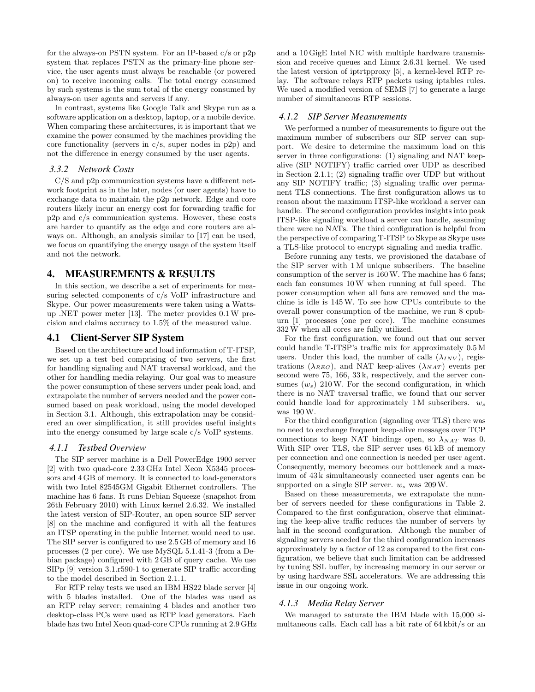for the always-on PSTN system. For an IP-based c/s or p2p system that replaces PSTN as the primary-line phone service, the user agents must always be reachable (or powered on) to receive incoming calls. The total energy consumed by such systems is the sum total of the energy consumed by always-on user agents and servers if any.

In contrast, systems like Google Talk and Skype run as a software application on a desktop, laptop, or a mobile device. When comparing these architectures, it is important that we examine the power consumed by the machines providing the core functionality (servers in  $c/s$ , super nodes in  $p2p$ ) and not the difference in energy consumed by the user agents.

#### *3.3.2 Network Costs*

C/S and p2p communication systems have a different network footprint as in the later, nodes (or user agents) have to exchange data to maintain the p2p network. Edge and core routers likely incur an energy cost for forwarding traffic for p2p and c/s communication systems. However, these costs are harder to quantify as the edge and core routers are always on. Although, an analysis similar to [17] can be used, we focus on quantifying the energy usage of the system itself and not the network.

## 4. MEASUREMENTS & RESULTS

In this section, we describe a set of experiments for measuring selected components of c/s VoIP infrastructure and Skype. Our power measurements were taken using a Wattsup .NET power meter [13]. The meter provides 0.1W precision and claims accuracy to 1.5% of the measured value.

## 4.1 Client-Server SIP System

Based on the architecture and load information of T-ITSP, we set up a test bed comprising of two servers, the first for handling signaling and NAT traversal workload, and the other for handling media relaying. Our goal was to measure the power consumption of these servers under peak load, and extrapolate the number of servers needed and the power consumed based on peak workload, using the model developed in Section 3.1. Although, this extrapolation may be considered an over simplification, it still provides useful insights into the energy consumed by large scale c/s VoIP systems.

#### *4.1.1 Testbed Overview*

The SIP server machine is a Dell PowerEdge 1900 server [2] with two quad-core 2.33 GHz Intel Xeon X5345 processors and 4 GB of memory. It is connected to load-generators with two Intel 82545GM Gigabit Ethernet controllers. The machine has 6 fans. It runs Debian Squeeze (snapshot from 26th February 2010) with Linux kernel 2.6.32. We installed the latest version of SIP-Router, an open source SIP server [8] on the machine and configured it with all the features an ITSP operating in the public Internet would need to use. The SIP server is configured to use 2.5 GB of memory and 16 processes (2 per core). We use MySQL 5.1.41-3 (from a Debian package) configured with 2 GB of query cache. We use SIPp [9] version 3.1.r590-1 to generate SIP traffic according to the model described in Section 2.1.1.

For RTP relay tests we used an IBM HS22 blade server [4] with 5 blades installed. One of the blades was used as an RTP relay server; remaining 4 blades and another two desktop-class PCs were used as RTP load generators. Each blade has two Intel Xeon quad-core CPUs running at 2.9 GHz and a 10 GigE Intel NIC with multiple hardware transmission and receive queues and Linux 2.6.31 kernel. We used the latest version of iptrtpproxy [5], a kernel-level RTP relay. The software relays RTP packets using iptables rules. We used a modified version of SEMS [7] to generate a large number of simultaneous RTP sessions.

#### *4.1.2 SIP Server Measurements*

We performed a number of measurements to figure out the maximum number of subscribers our SIP server can support. We desire to determine the maximum load on this server in three configurations: (1) signaling and NAT keepalive (SIP NOTIFY) traffic carried over UDP as described in Section 2.1.1; (2) signaling traffic over UDP but without any SIP NOTIFY traffic; (3) signaling traffic over permanent TLS connections. The first configuration allows us to reason about the maximum ITSP-like workload a server can handle. The second configuration provides insights into peak ITSP-like signaling workload a server can handle, assuming there were no NATs. The third configuration is helpful from the perspective of comparing T-ITSP to Skype as Skype uses a TLS-like protocol to encrypt signaling and media traffic.

Before running any tests, we provisioned the database of the SIP server with 1 M unique subscribers. The baseline consumption of the server is 160W. The machine has 6 fans; each fan consumes 10W when running at full speed. The power consumption when all fans are removed and the machine is idle is 145W. To see how CPUs contribute to the overall power consumption of the machine, we run 8 cpuburn [1] processes (one per core). The machine consumes 332W when all cores are fully utilized.

For the first configuration, we found out that our server could handle T-ITSP's traffic mix for approximately 0.5 M users. Under this load, the number of calls  $(\lambda_{INV})$ , registrations ( $\lambda_{REG}$ ), and NAT keep-alives ( $\lambda_{NAT}$ ) events per second were 75, 166, 33 k, respectively, and the server consumes  $(w_s)$  210W. For the second configuration, in which there is no NAT traversal traffic, we found that our server could handle load for approximately 1 M subscribers. *w<sup>s</sup>* was 190W.

For the third configuration (signaling over TLS) there was no need to exchange frequent keep-alive messages over TCP connections to keep NAT bindings open, so  $\lambda_{NAT}$  was 0. With SIP over TLS, the SIP server uses  $61$  kB of memory per connection and one connection is needed per user agent. Consequently, memory becomes our bottleneck and a maximum of 43 k simultaneously connected user agents can be supported on a single SIP server. *w<sup>s</sup>* was 209W.

Based on these measurements, we extrapolate the number of servers needed for these configurations in Table 2. Compared to the first configuration, observe that eliminating the keep-alive traffic reduces the number of servers by half in the second configuration. Although the number of signaling servers needed for the third configuration increases approximately by a factor of 12 as compared to the first configuration, we believe that such limitation can be addressed by tuning SSL buffer, by increasing memory in our server or by using hardware SSL accelerators. We are addressing this issue in our ongoing work.

#### *4.1.3 Media Relay Server*

We managed to saturate the IBM blade with 15,000 simultaneous calls. Each call has a bit rate of 64 kbit/s or an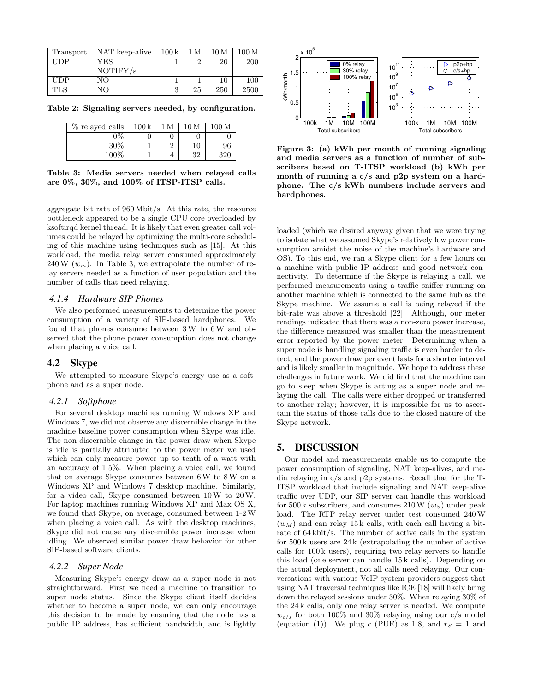| Transport  | NAT keep-alive | 100k | 1 M | 10 M | 100 M |
|------------|----------------|------|-----|------|-------|
| UDP        | YES            |      |     | 20   | 200   |
|            | NOTIFY/s       |      |     |      |       |
| UDP        | NΟ             |      |     | 10   | 100   |
| <b>TLS</b> | NΟ             |      | 25  | 250  | 2500  |

**Table 2: Signaling servers needed, by configuration.**

| % relayed calls | $100\,\mathrm{k}$ | M | 10 <sub>M</sub> | 100 <sub>M</sub> |
|-----------------|-------------------|---|-----------------|------------------|
| 0%              |                   |   |                 |                  |
| $30\%$          |                   |   | 10              | 96               |
| 100%            |                   |   | 32              | 320              |

**Table 3: Media servers needed when relayed calls are 0%, 30%, and 100% of ITSP-ITSP calls.**

aggregate bit rate of 960 Mbit/s. At this rate, the resource bottleneck appeared to be a single CPU core overloaded by ksoftirqd kernel thread. It is likely that even greater call volumes could be relayed by optimizing the multi-core scheduling of this machine using techniques such as [15]. At this workload, the media relay server consumed approximately  $240 \,\mathrm{W}$  ( $w_m$ ). In Table 3, we extrapolate the number of relay servers needed as a function of user population and the number of calls that need relaying.

#### *4.1.4 Hardware SIP Phones*

We also performed measurements to determine the power consumption of a variety of SIP-based hardphones. We found that phones consume between 3W to 6W and observed that the phone power consumption does not change when placing a voice call.

#### 4.2 Skype

We attempted to measure Skype's energy use as a softphone and as a super node.

#### *4.2.1 Softphone*

For several desktop machines running Windows XP and Windows 7, we did not observe any discernible change in the machine baseline power consumption when Skype was idle. The non-discernible change in the power draw when Skype is idle is partially attributed to the power meter we used which can only measure power up to tenth of a watt with an accuracy of 1.5%. When placing a voice call, we found that on average Skype consumes between 6W to 8W on a Windows XP and Windows 7 desktop machine. Similarly, for a video call, Skype consumed between 10W to 20W. For laptop machines running Windows XP and Max OS X, we found that Skype, on average, consumed between 1-2W when placing a voice call. As with the desktop machines, Skype did not cause any discernible power increase when idling. We observed similar power draw behavior for other SIP-based software clients.

#### *4.2.2 Super Node*

Measuring Skype's energy draw as a super node is not straightforward. First we need a machine to transition to super node status. Since the Skype client itself decides whether to become a super node, we can only encourage this decision to be made by ensuring that the node has a public IP address, has sufficient bandwidth, and is lightly



**Figure 3: (a) kWh per month of running signaling and media servers as a function of number of subscribers based on T-ITSP workload (b) kWh per month of running a c/s and p2p system on a hardphone. The c/s kWh numbers include servers and hardphones.**

loaded (which we desired anyway given that we were trying to isolate what we assumed Skype's relatively low power consumption amidst the noise of the machine's hardware and OS). To this end, we ran a Skype client for a few hours on a machine with public IP address and good network connectivity. To determine if the Skype is relaying a call, we performed measurements using a traffic sniffer running on another machine which is connected to the same hub as the Skype machine. We assume a call is being relayed if the bit-rate was above a threshold [22]. Although, our meter readings indicated that there was a non-zero power increase, the difference measured was smaller than the measurement error reported by the power meter. Determining when a super node is handling signaling traffic is even harder to detect, and the power draw per event lasts for a shorter interval and is likely smaller in magnitude. We hope to address these challenges in future work. We did find that the machine can go to sleep when Skype is acting as a super node and relaying the call. The calls were either dropped or transferred to another relay; however, it is impossible for us to ascertain the status of those calls due to the closed nature of the Skype network.

## 5. DISCUSSION

Our model and measurements enable us to compute the power consumption of signaling, NAT keep-alives, and media relaying in c/s and p2p systems. Recall that for the T-ITSP workload that include signaling and NAT keep-alive traffic over UDP, our SIP server can handle this workload for 500 k subscribers, and consumes  $210 W(w<sub>S</sub>)$  under peak load. The RTP relay server under test consumed 240W  $(w_M)$  and can relay 15 k calls, with each call having a bitrate of 64 kbit/s. The number of active calls in the system for 500 k users are 24 k (extrapolating the number of active calls for 100 k users), requiring two relay servers to handle this load (one server can handle 15 k calls). Depending on the actual deployment, not all calls need relaying. Our conversations with various VoIP system providers suggest that using NAT traversal techniques like ICE [18] will likely bring down the relayed sessions under 30%. When relaying 30% of the 24 k calls, only one relay server is needed. We compute  $w_{c/s}$  for both 100% and 30% relaying using our c/s model (equation (1)). We plug *c* (PUE) as 1.8, and  $r<sub>S</sub> = 1$  and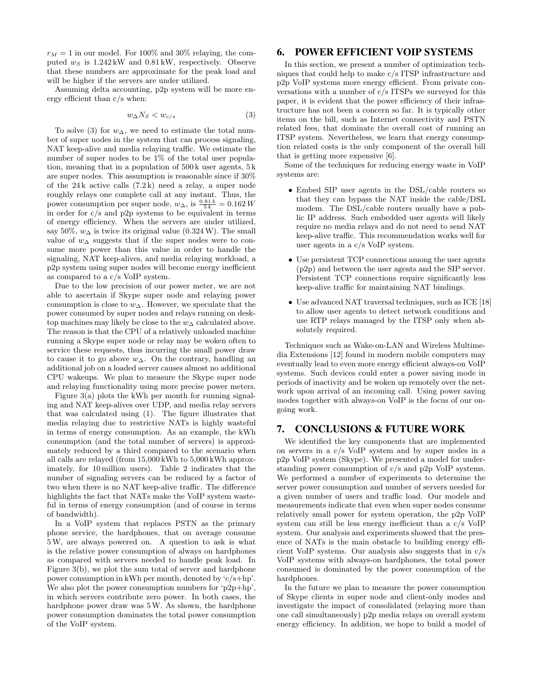$r_M = 1$  in our model. For 100% and 30% relaying, the computed  $w<sub>S</sub>$  is  $1.242 \text{ kW}$  and  $0.81 \text{ kW}$ , respectively. Observe that these numbers are approximate for the peak load and will be higher if the servers are under utilized.

Assuming delta accounting, p2p system will be more energy efficient than c/s when:

$$
w_{\Delta}N_S < w_{c/s} \tag{3}
$$

To solve (3) for  $w_{\Delta}$ , we need to estimate the total number of super nodes in the system that can process signaling, NAT keep-alive and media relaying traffic. We estimate the number of super nodes to be 1% of the total user population, meaning that in a population of 500 k user agents, 5 k are super nodes. This assumption is reasonable since if 30% of the 24 k active calls (7.2 k) need a relay, a super node roughly relays one complete call at any instant. Thus, the power consumption per super node,  $w_{\Delta}$ , is  $\frac{0.81 k}{5 k} = 0.162 W$ in order for  $c/s$  and p2p systems to be equivalent in terms of energy efficiency. When the servers are under utilized, say 50%,  $w_{\Delta}$  is twice its original value (0.324 W). The small value of *w*<sup>∆</sup> suggests that if the super nodes were to consume more power than this value in order to handle the signaling, NAT keep-alives, and media relaying workload, a p2p system using super nodes will become energy inefficient as compared to a c/s VoIP system.

Due to the low precision of our power meter, we are not able to ascertain if Skype super node and relaying power consumption is close to *w*∆. However, we speculate that the power consumed by super nodes and relays running on desktop machines may likely be close to the *w*<sup>∆</sup> calculated above. The reason is that the CPU of a relatively unloaded machine running a Skype super node or relay may be woken often to service these requests, thus incurring the small power draw to cause it to go above *w*∆. On the contrary, handling an additional job on a loaded server causes almost no additional CPU wakeups. We plan to measure the Skype super node and relaying functionality using more precise power meters.

Figure 3(a) plots the kWh per month for running signaling and NAT keep-alives over UDP, and media relay servers that was calculated using (1). The figure illustrates that media relaying due to restrictive NATs is highly wasteful in terms of energy consumption. As an example, the kWh consumption (and the total number of servers) is approximately reduced by a third compared to the scenario when all calls are relayed (from 15,000 kWh to 5,000 kWh approximately, for 10 million users). Table 2 indicates that the number of signaling servers can be reduced by a factor of two when there is no NAT keep-alive traffic. The difference highlights the fact that NATs make the VoIP system wasteful in terms of energy consumption (and of course in terms of bandwidth).

In a VoIP system that replaces PSTN as the primary phone service, the hardphones, that on average consume 5W, are always powered on. A question to ask is what is the relative power consumption of always on hardphones as compared with servers needed to handle peak load. In Figure 3(b), we plot the sum total of server and hardphone power consumption in kWh per month, denoted by 'c/s+hp'. We also plot the power consumption numbers for 'p2p+hp', in which servers contribute zero power. In both cases, the hardphone power draw was 5W. As shown, the hardphone power consumption dominates the total power consumption of the VoIP system.

## 6. POWER EFFICIENT VOIP SYSTEMS

In this section, we present a number of optimization techniques that could help to make c/s ITSP infrastructure and p2p VoIP systems more energy efficient. From private conversations with a number of c/s ITSPs we surveyed for this paper, it is evident that the power efficiency of their infrastructure has not been a concern so far. It is typically other items on the bill, such as Internet connectivity and PSTN related fees, that dominate the overall cost of running an ITSP system. Nevertheless, we learn that energy consumption related costs is the only component of the overall bill that is getting more expensive [6].

Some of the techniques for reducing energy waste in VoIP systems are:

- *•* Embed SIP user agents in the DSL/cable routers so that they can bypass the NAT inside the cable/DSL modem. The DSL/cable routers usually have a public IP address. Such embedded user agents will likely require no media relays and do not need to send NAT keep-alive traffic. This recommendation works well for user agents in a c/s VoIP system.
- *•* Use persistent TCP connections among the user agents (p2p) and between the user agents and the SIP server. Persistent TCP connections require significantly less keep-alive traffic for maintaining NAT bindings.
- *•* Use advanced NAT traversal techniques, such as ICE [18] to allow user agents to detect network conditions and use RTP relays managed by the ITSP only when absolutely required.

Techniques such as Wake-on-LAN and Wireless Multimedia Extensions [12] found in modern mobile computers may eventually lead to even more energy efficient always-on VoIP systems. Such devices could enter a power saving mode in periods of inactivity and be woken up remotely over the network upon arrival of an incoming call. Using power saving modes together with always-on VoIP is the focus of our ongoing work.

## 7. CONCLUSIONS & FUTURE WORK

We identified the key components that are implemented on servers in a c/s VoIP system and by super nodes in a p2p VoIP system (Skype). We presented a model for understanding power consumption of c/s and p2p VoIP systems. We performed a number of experiments to determine the server power consumption and number of servers needed for a given number of users and traffic load. Our models and measurements indicate that even when super nodes consume relatively small power for system operation, the p2p VoIP system can still be less energy inefficient than a c/s VoIP system. Our analysis and experiments showed that the presence of NATs is the main obstacle to building energy efficient VoIP systems. Our analysis also suggests that in c/s VoIP systems with always-on hardphones, the total power consumed is dominated by the power consumption of the hardphones.

In the future we plan to measure the power consumption of Skype clients in super node and client-only modes and investigate the impact of consolidated (relaying more than one call simultaneously) p2p media relays on overall system energy efficiency. In addition, we hope to build a model of